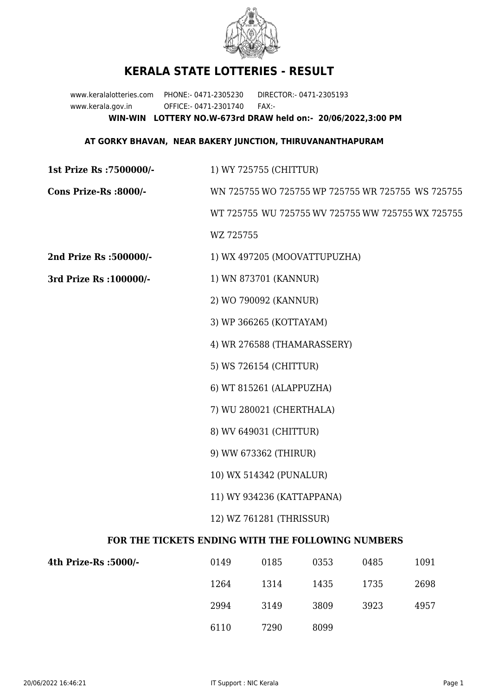

## **KERALA STATE LOTTERIES - RESULT**

www.keralalotteries.com PHONE:- 0471-2305230 DIRECTOR:- 0471-2305193 www.kerala.gov.in OFFICE:- 0471-2301740 FAX:- **WIN-WIN LOTTERY NO.W-673rd DRAW held on:- 20/06/2022,3:00 PM**

## **AT GORKY BHAVAN, NEAR BAKERY JUNCTION, THIRUVANANTHAPURAM**

| <b>1st Prize Rs: 7500000/-</b>                    | 1) WY 725755 (CHITTUR)                            |  |  |  |
|---------------------------------------------------|---------------------------------------------------|--|--|--|
| Cons Prize-Rs :8000/-                             | WN 725755 WO 725755 WP 725755 WR 725755 WS 725755 |  |  |  |
|                                                   | WT 725755 WU 725755 WV 725755 WW 725755 WX 725755 |  |  |  |
|                                                   | WZ 725755                                         |  |  |  |
| 2nd Prize Rs :500000/-                            | 1) WX 497205 (MOOVATTUPUZHA)                      |  |  |  |
| 3rd Prize Rs : 100000/-                           | 1) WN 873701 (KANNUR)                             |  |  |  |
|                                                   | 2) WO 790092 (KANNUR)                             |  |  |  |
|                                                   | 3) WP 366265 (KOTTAYAM)                           |  |  |  |
|                                                   | 4) WR 276588 (THAMARASSERY)                       |  |  |  |
|                                                   | 5) WS 726154 (CHITTUR)                            |  |  |  |
|                                                   | 6) WT 815261 (ALAPPUZHA)                          |  |  |  |
|                                                   | 7) WU 280021 (CHERTHALA)                          |  |  |  |
|                                                   | 8) WV 649031 (CHITTUR)                            |  |  |  |
|                                                   | 9) WW 673362 (THIRUR)                             |  |  |  |
|                                                   | 10) WX 514342 (PUNALUR)                           |  |  |  |
|                                                   | 11) WY 934236 (KATTAPPANA)                        |  |  |  |
|                                                   | 12) WZ 761281 (THRISSUR)                          |  |  |  |
| FOR THE TICKETS ENDING WITH THE FOLLOWING NUMBERS |                                                   |  |  |  |

| 4th Prize-Rs :5000/- | 0149 | 0185 | 0353 | 0485 | 1091 |
|----------------------|------|------|------|------|------|
|                      | 1264 | 1314 | 1435 | 1735 | 2698 |
|                      | 2994 | 3149 | 3809 | 3923 | 4957 |
|                      | 6110 | 7290 | 8099 |      |      |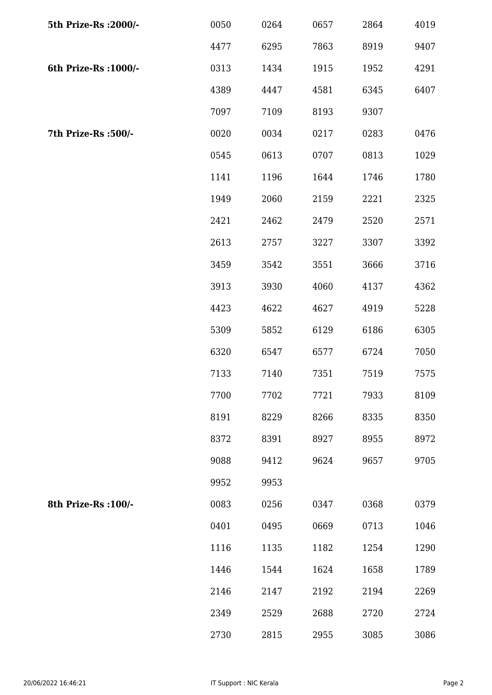| 5th Prize-Rs : 2000/- | 0050 | 0264 | 0657 | 2864 | 4019 |
|-----------------------|------|------|------|------|------|
|                       | 4477 | 6295 | 7863 | 8919 | 9407 |
| 6th Prize-Rs : 1000/- | 0313 | 1434 | 1915 | 1952 | 4291 |
|                       | 4389 | 4447 | 4581 | 6345 | 6407 |
|                       | 7097 | 7109 | 8193 | 9307 |      |
| 7th Prize-Rs :500/-   | 0020 | 0034 | 0217 | 0283 | 0476 |
|                       | 0545 | 0613 | 0707 | 0813 | 1029 |
|                       | 1141 | 1196 | 1644 | 1746 | 1780 |
|                       | 1949 | 2060 | 2159 | 2221 | 2325 |
|                       | 2421 | 2462 | 2479 | 2520 | 2571 |
|                       | 2613 | 2757 | 3227 | 3307 | 3392 |
|                       | 3459 | 3542 | 3551 | 3666 | 3716 |
|                       | 3913 | 3930 | 4060 | 4137 | 4362 |
|                       | 4423 | 4622 | 4627 | 4919 | 5228 |
|                       | 5309 | 5852 | 6129 | 6186 | 6305 |
|                       | 6320 | 6547 | 6577 | 6724 | 7050 |
|                       | 7133 | 7140 | 7351 | 7519 | 7575 |
|                       | 7700 | 7702 | 7721 | 7933 | 8109 |
|                       | 8191 | 8229 | 8266 | 8335 | 8350 |
|                       | 8372 | 8391 | 8927 | 8955 | 8972 |
|                       | 9088 | 9412 | 9624 | 9657 | 9705 |
|                       | 9952 | 9953 |      |      |      |
| 8th Prize-Rs : 100/-  | 0083 | 0256 | 0347 | 0368 | 0379 |
|                       | 0401 | 0495 | 0669 | 0713 | 1046 |
|                       | 1116 | 1135 | 1182 | 1254 | 1290 |
|                       | 1446 | 1544 | 1624 | 1658 | 1789 |
|                       | 2146 | 2147 | 2192 | 2194 | 2269 |
|                       | 2349 | 2529 | 2688 | 2720 | 2724 |
|                       | 2730 | 2815 | 2955 | 3085 | 3086 |